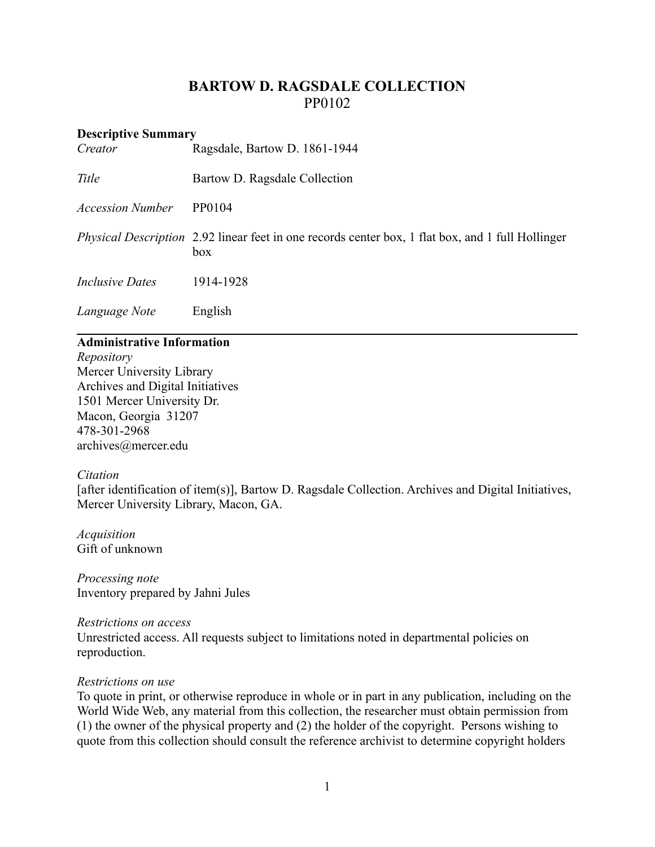# **BARTOW D. RAGSDALE COLLECTION** PP0102

| <b>Descriptive Summary</b><br>Creator | Ragsdale, Bartow D. 1861-1944                                                                                   |
|---------------------------------------|-----------------------------------------------------------------------------------------------------------------|
| Title                                 | Bartow D. Ragsdale Collection                                                                                   |
| <b>Accession Number</b>               | PP0104                                                                                                          |
|                                       | <i>Physical Description</i> 2.92 linear feet in one records center box, 1 flat box, and 1 full Hollinger<br>box |
| <i>Inclusive Dates</i>                | 1914-1928                                                                                                       |
| Language Note                         | English                                                                                                         |

### **Administrative Information**

*Repository* Mercer University Library Archives and Digital Initiatives 1501 Mercer University Dr. Macon, Georgia 31207 478-301-2968 [archives@mercer.edu](mailto:archives@mercer.edu)

#### *Citation*

[after identification of item(s)], Bartow D. Ragsdale Collection. Archives and Digital Initiatives, Mercer University Library, Macon, GA.

*Acquisition* Gift of unknown

*Processing note* Inventory prepared by Jahni Jules

*Restrictions on access* Unrestricted access. All requests subject to limitations noted in departmental policies on reproduction.

#### *Restrictions on use*

To quote in print, or otherwise reproduce in whole or in part in any publication, including on the World Wide Web, any material from this collection, the researcher must obtain permission from (1) the owner of the physical property and (2) the holder of the copyright. Persons wishing to quote from this collection should consult the reference archivist to determine copyright holders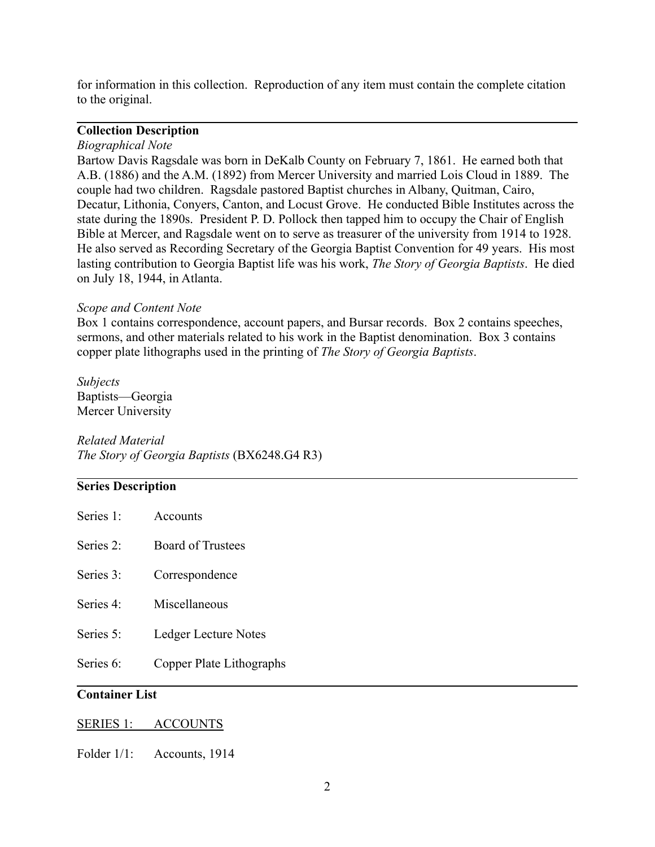for information in this collection. Reproduction of any item must contain the complete citation to the original.

### **Collection Description**

#### *Biographical Note*

Bartow Davis Ragsdale was born in DeKalb County on February 7, 1861. He earned both that A.B. (1886) and the A.M. (1892) from Mercer University and married Lois Cloud in 1889. The couple had two children. Ragsdale pastored Baptist churches in Albany, Quitman, Cairo, Decatur, Lithonia, Conyers, Canton, and Locust Grove. He conducted Bible Institutes across the state during the 1890s. President P. D. Pollock then tapped him to occupy the Chair of English Bible at Mercer, and Ragsdale went on to serve as treasurer of the university from 1914 to 1928. He also served as Recording Secretary of the Georgia Baptist Convention for 49 years. His most lasting contribution to Georgia Baptist life was his work, *The Story of Georgia Baptists*. He died on July 18, 1944, in Atlanta.

#### *Scope and Content Note*

Box 1 contains correspondence, account papers, and Bursar records. Box 2 contains speeches, sermons, and other materials related to his work in the Baptist denomination. Box 3 contains copper plate lithographs used in the printing of *The Story of Georgia Baptists*.

*Subjects* Baptists—Georgia Mercer University

## *Related Material The Story of Georgia Baptists* (BX6248.G4 R3)

#### **Series Description**

| Series 1: | Accounts                 |
|-----------|--------------------------|
| Series 2: | <b>Board of Trustees</b> |
| Series 3: | Correspondence           |
| Series 4: | Miscellaneous            |
| Series 5: | Ledger Lecture Notes     |
| Series 6: | Copper Plate Lithographs |

### **Container List**

#### SERIES 1: ACCOUNTS

Folder  $1/1$ : Accounts, 1914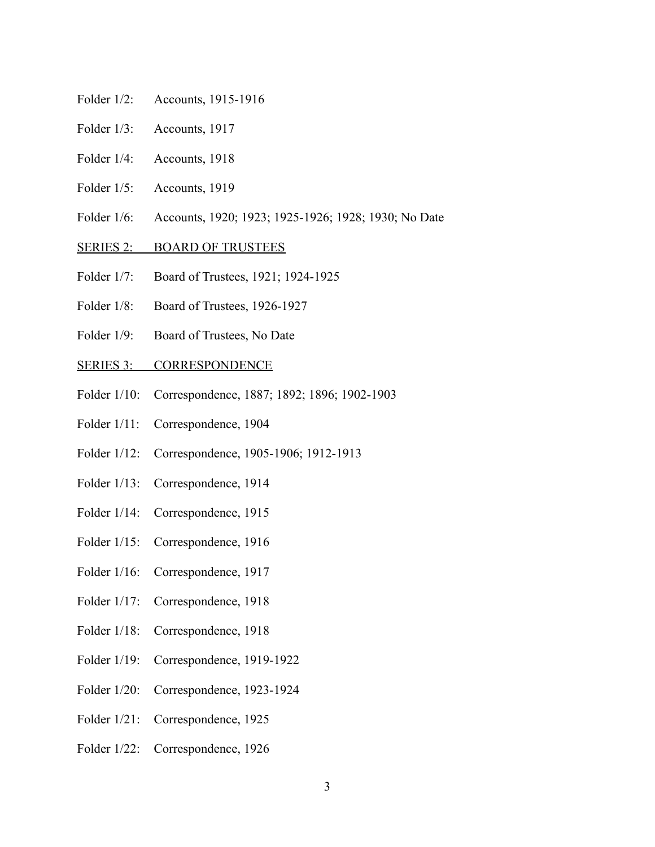- Folder 1/2: Accounts, 1915-1916
- Folder 1/3: Accounts, 1917
- Folder 1/4: Accounts, 1918
- Folder 1/5: Accounts, 1919
- Folder 1/6: Accounts, 1920; 1923; 1925-1926; 1928; 1930; No Date
- SERIES 2: BOARD OF TRUSTEES
- Folder 1/7: Board of Trustees, 1921; 1924-1925
- Folder 1/8: Board of Trustees, 1926-1927
- Folder 1/9: Board of Trustees, No Date
- SERIES 3: CORRESPONDENCE
- Folder 1/10: Correspondence, 1887; 1892; 1896; 1902-1903
- Folder 1/11: Correspondence, 1904
- Folder 1/12: Correspondence, 1905-1906; 1912-1913
- Folder 1/13: Correspondence, 1914
- Folder 1/14: Correspondence, 1915
- Folder 1/15: Correspondence, 1916
- Folder 1/16: Correspondence, 1917
- Folder 1/17: Correspondence, 1918
- Folder 1/18: Correspondence, 1918
- Folder 1/19: Correspondence, 1919-1922
- Folder 1/20: Correspondence, 1923-1924
- Folder 1/21: Correspondence, 1925
- Folder 1/22: Correspondence, 1926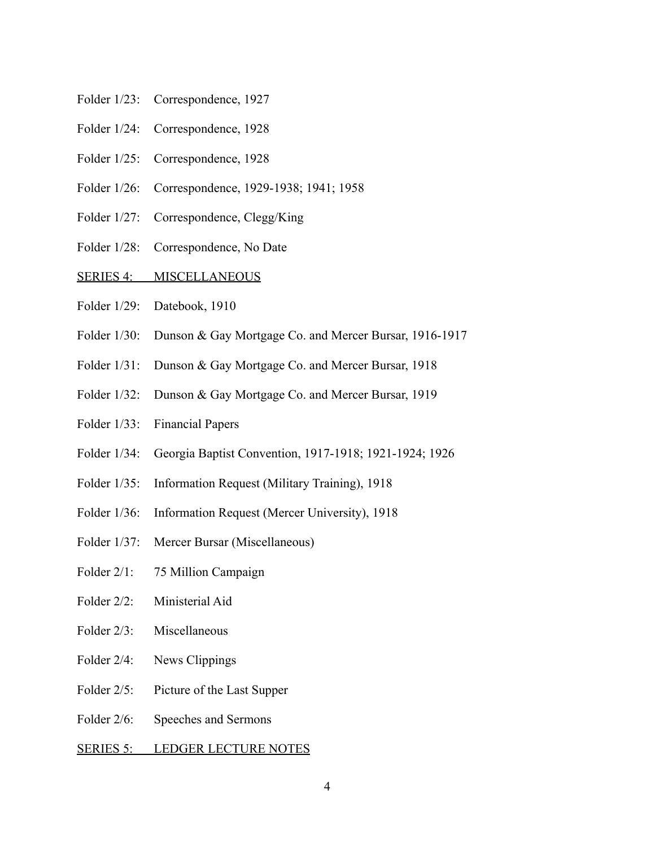- Folder 1/23: Correspondence, 1927
- Folder 1/24: Correspondence, 1928
- Folder 1/25: Correspondence, 1928
- Folder 1/26: Correspondence, 1929-1938; 1941; 1958
- Folder 1/27: Correspondence, Clegg/King
- Folder 1/28: Correspondence, No Date
- SERIES 4: MISCELLANEOUS
- Folder 1/29: Datebook, 1910
- Folder 1/30: Dunson & Gay Mortgage Co. and Mercer Bursar, 1916-1917
- Folder 1/31: Dunson & Gay Mortgage Co. and Mercer Bursar, 1918
- Folder 1/32: Dunson & Gay Mortgage Co. and Mercer Bursar, 1919
- Folder 1/33: Financial Papers
- Folder 1/34: Georgia Baptist Convention, 1917-1918; 1921-1924; 1926
- Folder 1/35: Information Request (Military Training), 1918
- Folder 1/36: Information Request (Mercer University), 1918
- Folder 1/37: Mercer Bursar (Miscellaneous)
- Folder 2/1: 75 Million Campaign
- Folder 2/2: Ministerial Aid
- Folder 2/3: Miscellaneous
- Folder 2/4: News Clippings
- Folder 2/5: Picture of the Last Supper
- Folder 2/6: Speeches and Sermons
- SERIES 5: LEDGER LECTURE NOTES